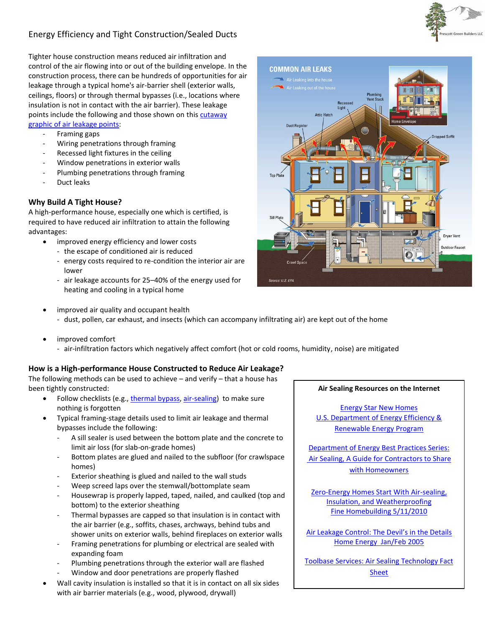## Energy Efficiency and Tight Construction/Sealed Ducts

Tighter house construction means reduced air infiltration and control of the air flowing into or out of the building envelope. In the construction process, there can be hundreds of opportunities for air leakage through a typical home's air-barrier shell (exterior walls, ceilings, floors) or through thermal bypasses (i.e., locations where insulation is not in contact with the air barrier). These leakage points include the following and those shown on this [cutaway](http://www.southface.org/default-interior/Documents/airsealingkeypoints.pdf)

[graphic of air leakage points:](http://www.southface.org/default-interior/Documents/airsealingkeypoints.pdf)

- Framing gaps
- Wiring penetrations through framing
- Recessed light fixtures in the ceiling
- Window penetrations in exterior walls
- Plumbing penetrations through framing
- Duct leaks

## **Why Build A Tight House?**

A high-performance house, especially one which is certified, is required to have reduced air infiltration to attain the following advantages:

- improved energy efficiency and lower costs
	- the escape of conditioned air is reduced
	- energy costs required to re-condition the interior air are lower
	- air leakage accounts for 25–40% of the energy used for heating and cooling in a typical home



- improved air quality and occupant health
	- dust, pollen, car exhaust, and insects (which can accompany infiltrating air) are kept out of the home
- improved comfort
	- air-infiltration factors which negatively affect comfort (hot or cold rooms, humidity, noise) are mitigated

## **How is a High-performance House Constructed to Reduce Air Leakage?**

The following methods can be used to achieve  $-$  and verify  $-$  that a house has been tightly constructed:

- Follow checklists (e.g., [thermal bypass,](http://www.energystar.gov/ia/partners/bldrs_lenders_raters/downloads/Thermal_Bypass_Inspection_Checklist.pdf) [air-sealing\)](http://www.toolbase.org/PDF/DesignGuides/doe_airsealingFS.pdf) to make sure nothing is forgotten
- Typical framing-stage details used to limit air leakage and thermal bypasses include the following:
	- A sill sealer is used between the bottom plate and the concrete to limit air loss (for slab-on-grade homes)
	- Bottom plates are glued and nailed to the subfloor (for crawlspace homes)
	- Exterior sheathing is glued and nailed to the wall studs
	- Weep screed laps over the stemwall/bottomplate seam
	- Housewrap is properly lapped, taped, nailed, and caulked (top and bottom) to the exterior sheathing
	- Thermal bypasses are capped so that insulation is in contact with the air barrier (e.g., soffits, chases, archways, behind tubs and shower units on exterior walls, behind fireplaces on exterior walls
	- Framing penetrations for plumbing or electrical are sealed with expanding foam
	- Plumbing penetrations through the exterior wall are flashed
	- Window and door penetrations are properly flashed
- Wall cavity insulation is installed so that it is in contact on all six sides with air barrier materials (e.g., wood, plywood, drywall)

## **Air Sealing Resources on the Internet**

[Energy Star New Homes](http://www.energystar.gov/index.cfm?c=new_homes_features.hm_f_reduced_air_infiltration) [U.S. Department of Energy Efficiency &](http://www.energysavers.gov/your_home/insulation_airsealing/index.cfm/mytopic=11290) [Renewable Energy Program](http://www.energysavers.gov/your_home/insulation_airsealing/index.cfm/mytopic=11290)

[Department of Energy Best Practices Series:](http://apps1.eere.energy.gov/buildings/publications/pdfs/building_america/ba_airsealing_report.pdf) Air Sealing, A Guide [for Contractors to Share](http://apps1.eere.energy.gov/buildings/publications/pdfs/building_america/ba_airsealing_report.pdf) [with Homeowners](http://apps1.eere.energy.gov/buildings/publications/pdfs/building_america/ba_airsealing_report.pdf)

[Zero-Energy Homes Start With Air-sealing,](http://www.finehomebuilding.com/item/12197/zero-energy-homes-start-with-air-sealing-insulation-and-weatherproofing/page/2)  [Insulation, and Weatherproofing](http://www.finehomebuilding.com/item/12197/zero-energy-homes-start-with-air-sealing-insulation-and-weatherproofing/page/2) Fine Homebuilding 5/11/2010

[Air Leakage Control: The Devil's in the Details](http://www.bestofbuildingscience.com/pdf/AIRLEA1.PDF) [Home Energy Jan/Feb 2005](http://www.bestofbuildingscience.com/pdf/AIRLEA1.PDF)

Toolbase [Services: Air Sealing Technology Fact](http://www.toolbase.org/ToolbaseResources/level4DG.aspx?ContentDetailID=4070&BucketID=2&CategoryID=42)  [Sheet](http://www.toolbase.org/ToolbaseResources/level4DG.aspx?ContentDetailID=4070&BucketID=2&CategoryID=42)